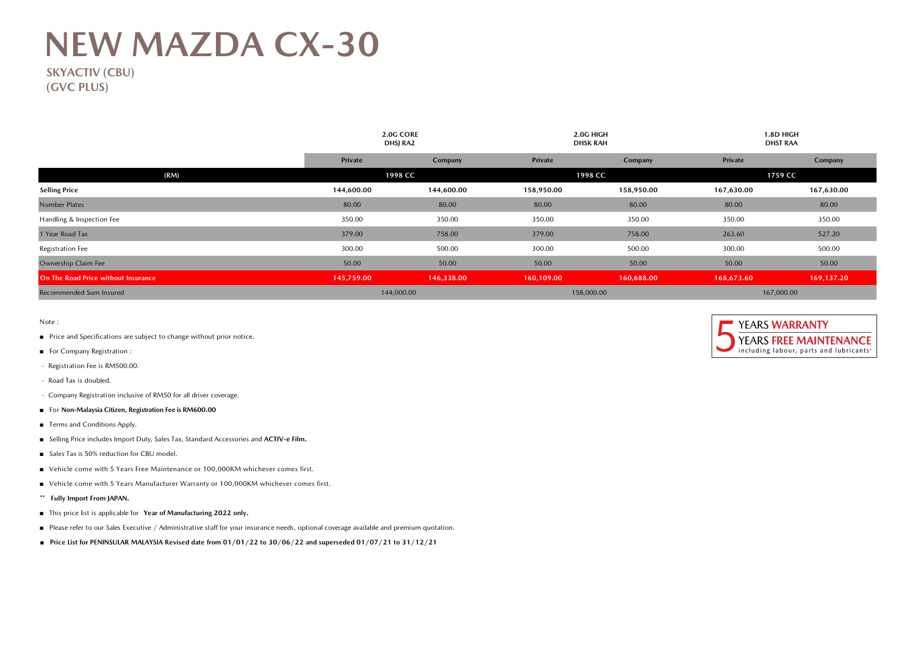## **NEW MAZDA CX-30**

 **SKYACTIV (CBU) (GVC PLUS)**

|                                     | DHSJ RA2   | <b>2.0G CORE</b> |            | 2.0G HIGH<br><b>DHSK RAH</b> |            | 1.8D HIGH<br><b>DHST RAA</b> |  |
|-------------------------------------|------------|------------------|------------|------------------------------|------------|------------------------------|--|
|                                     | Private    | Company          | Private    | Company                      | Private    | Company                      |  |
| (RM)                                | 1998 CC    |                  | 1998 CC    |                              | 1759 CC    |                              |  |
| <b>Selling Price</b>                | 144,600.00 | 144,600.00       | 158,950.00 | 158,950.00                   | 167,630.00 | 167,630.00                   |  |
| <b>Number Plates</b>                | 80.00      | 80.00            | 80.00      | 80.00                        | 80.00      | 80.00                        |  |
| Handling & Inspection Fee           | 350.00     | 350.00           | 350.00     | 350.00                       | 350.00     | 350.00                       |  |
| 1 Year Road Tax                     | 379.00     | 758.00           | 379.00     | 758.00                       | 263.60     | 527.20                       |  |
| Registration Fee                    | 300.00     | 500.00           | 300.00     | 500.00                       | 300.00     | 500.00                       |  |
| Ownership Claim Fee                 | 50.00      | 50.00            | 50.00      | 50.00                        | 50.00      | 50.00                        |  |
| On The Road Price without Insurance | 145,759.00 | 146,338.00       | 160,109.00 | 160,688.00                   | 168,673.60 | 169,137.20                   |  |
| Recommended Sum Insured             | 144,000.00 |                  | 158,000.00 |                              | 167,000.00 |                              |  |

Note :

- Price and Specifications are subject to change without prior notice.
- For Company Registration :
- Registration Fee is RM500.00.
- Road Tax is doubled.
- Company Registration inclusive of RM50 for all driver coverage.
- For **Non-Malaysia Citizen, Registration Fee is RM600.00**
- Terms and Conditions Apply.
- Selling Price includes Import Duty, Sales Tax, Standard Accessories and **ACTIV-e Film.**
- Sales Tax is 50% reduction for CBU model.
- Vehicle come with 5 Years Free Maintenance or 100,000KM whichever comes first.
- Vehicle come with 5 Years Manufacturer Warranty or 100,000KM whichever comes first.
- **\*\* Fully Import From JAPAN.**
- This price list is applicable for **Year of Manufacturing 2022 only.**
- Please refer to our Sales Executive / Administrative staff for your insurance needs, optional coverage available and premium quotation.
- **■ Price List for PENINSULAR MALAYSIA Revised date from 01/01/22 to 30/06/22 and superseded 01/07/21 to 31/12/21**

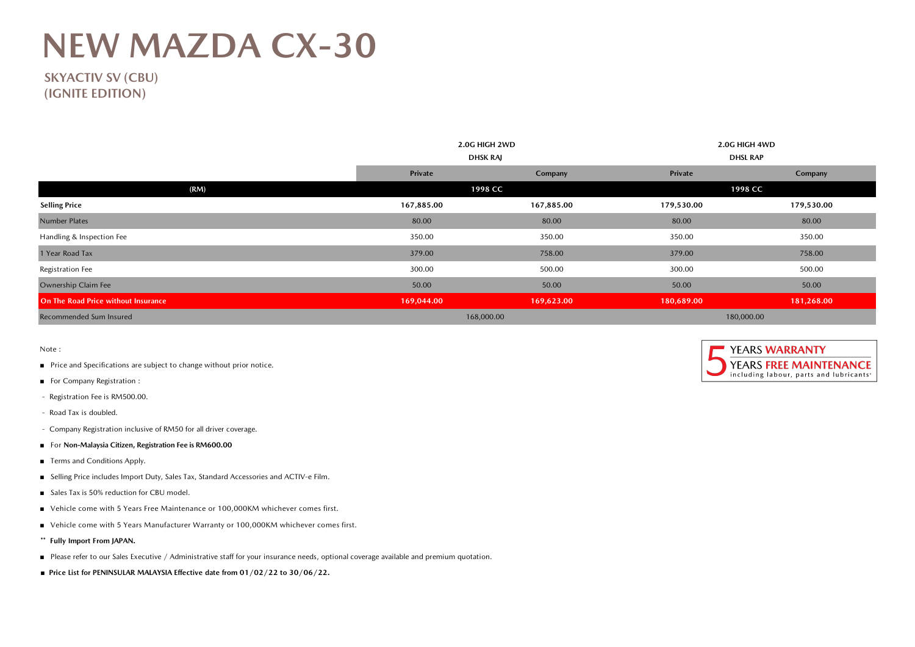## **NEW MAZDA CX-30**

**SKYACTIV SV (CBU) (IGNITE EDITION)**

|                                     |            | 2.0G HIGH 2WD   |                 | 2.0G HIGH 4WD |  |  |
|-------------------------------------|------------|-----------------|-----------------|---------------|--|--|
|                                     |            | <b>DHSK RAJ</b> | <b>DHSL RAP</b> |               |  |  |
|                                     | Private    | Company         | Private         | Company       |  |  |
| (RM)                                |            | 1998 CC         | 1998 CC         |               |  |  |
| <b>Selling Price</b>                | 167,885.00 | 167,885.00      | 179,530.00      | 179,530.00    |  |  |
| Number Plates                       | 80.00      | 80.00           | 80.00           | 80.00         |  |  |
| Handling & Inspection Fee           | 350.00     | 350.00          | 350.00          | 350.00        |  |  |
| 1 Year Road Tax                     | 379.00     | 758.00          | 379.00          | 758.00        |  |  |
| Registration Fee                    | 300.00     | 500.00          | 300.00          | 500.00        |  |  |
| Ownership Claim Fee                 | 50.00      | 50.00           | 50.00           | 50.00         |  |  |
| On The Road Price without Insurance | 169,044.00 | 169,623.00      | 180,689.00      | 181,268.00    |  |  |
| Recommended Sum Insured             |            | 168,000.00      | 180,000.00      |               |  |  |

Note :

- Price and Specifications are subject to change without prior notice.
- For Company Registration :
- Registration Fee is RM500.00.
- Road Tax is doubled.
- Company Registration inclusive of RM50 for all driver coverage.
- For **Non-Malaysia Citizen, Registration Fee is RM600.00**
- Terms and Conditions Apply.
- Selling Price includes Import Duty, Sales Tax, Standard Accessories and ACTIV-e Film.
- Sales Tax is 50% reduction for CBU model.
- Vehicle come with 5 Years Free Maintenance or 100,000KM whichever comes first.
- Vehicle come with 5 Years Manufacturer Warranty or 100,000KM whichever comes first.
- **\*\* Fully Import From JAPAN.**
- Please refer to our Sales Executive / Administrative staff for your insurance needs, optional coverage available and premium quotation.
- **■ Price List for PENINSULAR MALAYSIA Effective date from 01/02/22 to 30/06/22.**